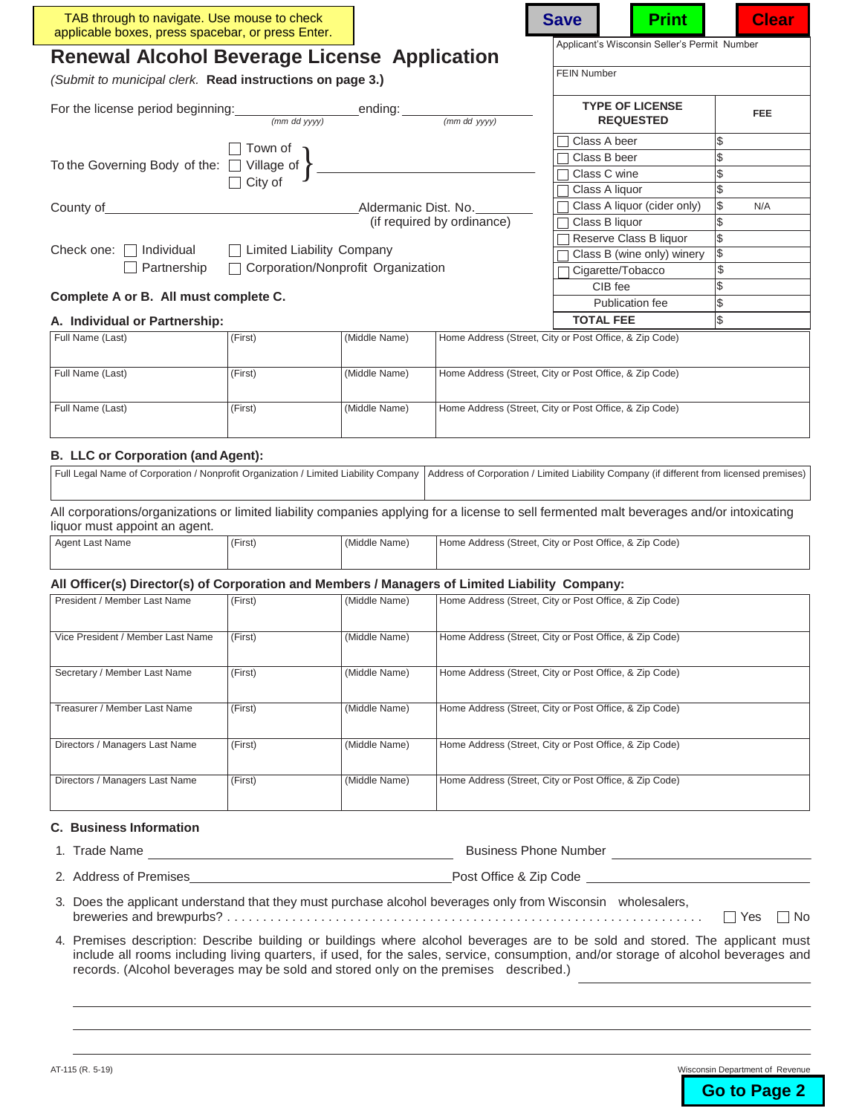| TAB through to navigate. Use mouse to check<br>applicable boxes, press spacebar, or press Enter.                                                                                                                             |                                                                                    |               |                                                        | <b>Save</b>                |                        | <b>Print</b>                                 |    | <b>Clear</b> |
|------------------------------------------------------------------------------------------------------------------------------------------------------------------------------------------------------------------------------|------------------------------------------------------------------------------------|---------------|--------------------------------------------------------|----------------------------|------------------------|----------------------------------------------|----|--------------|
| <b>Renewal Alcohol Beverage License Application</b>                                                                                                                                                                          |                                                                                    |               |                                                        |                            |                        | Applicant's Wisconsin Seller's Permit Number |    |              |
| (Submit to municipal clerk. Read instructions on page 3.)                                                                                                                                                                    |                                                                                    |               |                                                        | <b>FEIN Number</b>         |                        |                                              |    |              |
|                                                                                                                                                                                                                              |                                                                                    |               |                                                        |                            |                        | <b>TYPE OF LICENSE</b><br><b>REQUESTED</b>   |    | <b>FEE</b>   |
|                                                                                                                                                                                                                              | Town of                                                                            |               |                                                        |                            | Class A beer           |                                              | \$ |              |
| To the Governing Body of the: $\Box$ Village of $\Big\}$                                                                                                                                                                     |                                                                                    |               |                                                        |                            | Class B beer           |                                              | \$ |              |
|                                                                                                                                                                                                                              | $\Box$ City of                                                                     |               |                                                        |                            | Class C wine           |                                              | \$ |              |
|                                                                                                                                                                                                                              |                                                                                    |               |                                                        |                            | Class A liquor         |                                              | \$ |              |
| County of                                                                                                                                                                                                                    | Aldermanic Dist. No.                                                               |               |                                                        |                            |                        | Class A liquor (cider only)                  | \$ | N/A          |
|                                                                                                                                                                                                                              |                                                                                    |               | (if required by ordinance)                             |                            | Class B liquor         |                                              | \$ |              |
|                                                                                                                                                                                                                              |                                                                                    |               |                                                        |                            | Reserve Class B liquor | \$                                           |    |              |
| <b>Limited Liability Company</b><br>Check one: $\Box$ Individual                                                                                                                                                             |                                                                                    |               |                                                        | Class B (wine only) winery | \$                     |                                              |    |              |
| $\Box$ Corporation/Nonprofit Organization<br>Partnership                                                                                                                                                                     |                                                                                    |               |                                                        | Cigarette/Tobacco          |                        | \$                                           |    |              |
|                                                                                                                                                                                                                              |                                                                                    |               |                                                        | CIB fee                    |                        |                                              |    |              |
| Complete A or B. All must complete C.                                                                                                                                                                                        |                                                                                    |               |                                                        |                            |                        | Publication fee                              | \$ |              |
| A. Individual or Partnership:                                                                                                                                                                                                |                                                                                    |               |                                                        | <b>TOTAL FEE</b>           |                        | \$                                           |    |              |
| Full Name (Last)                                                                                                                                                                                                             | (First)<br>(Middle Name)<br>Home Address (Street, City or Post Office, & Zip Code) |               |                                                        |                            |                        |                                              |    |              |
| Full Name (Last)                                                                                                                                                                                                             | (First)                                                                            | (Middle Name) | Home Address (Street, City or Post Office, & Zip Code) |                            |                        |                                              |    |              |
| Full Name (Last)                                                                                                                                                                                                             | (First)                                                                            | (Middle Name) | Home Address (Street, City or Post Office, & Zip Code) |                            |                        |                                              |    |              |
| <b>B. LLC or Corporation (and Agent):</b><br>Full Legal Name of Corporation / Nonprofit Organization / Limited Liability Company<br>Address of Corporation / Limited Liability Company (if different from licensed premises) |                                                                                    |               |                                                        |                            |                        |                                              |    |              |
|                                                                                                                                                                                                                              |                                                                                    |               |                                                        |                            |                        |                                              |    |              |

All corporations/organizations or limited liability companies applying for a license to sell fermented malt beverages and/or intoxicating liquor must appoint an agent.

| Agent Last Name | (First) | (Middle Name) | Home Address (Street, City or Post Office, & Zip Code) |
|-----------------|---------|---------------|--------------------------------------------------------|
|                 |         |               |                                                        |
|                 |         |               |                                                        |

#### **All Officer(s) Director(s) of Corporation and Members / Managers of Limited Liability Company:**

| President / Member Last Name      | (First) | (Middle Name) | Home Address (Street, City or Post Office, & Zip Code) |
|-----------------------------------|---------|---------------|--------------------------------------------------------|
| Vice President / Member Last Name | (First) | (Middle Name) | Home Address (Street, City or Post Office, & Zip Code) |
| Secretary / Member Last Name      | (First) | (Middle Name) | Home Address (Street, City or Post Office, & Zip Code) |
| Treasurer / Member Last Name      | (First) | (Middle Name) | Home Address (Street, City or Post Office, & Zip Code) |
| Directors / Managers Last Name    | (First) | (Middle Name) | Home Address (Street, City or Post Office, & Zip Code) |
| Directors / Managers Last Name    | (First) | (Middle Name) | Home Address (Street, City or Post Office, & Zip Code) |

#### **C. Business Information**

| 1. Trade Name | <b>Business Phone Number</b> |  |
|---------------|------------------------------|--|
|               |                              |  |

- 2. Address of Premises Post Office & Zip Code
- -
- 3. Does the applicant understand that they must purchase alcohol beverages only from Wisconsin wholesalers, breweries and brewpurbs? . . . . . . . . . . . . . . . . . . . . . . . . . . . . . . . . . . . . . . . . . . . . . . . . . . . . . . . . . . . . . . . . . . Yes No
- 4. Premises description: Describe building or buildings where alcohol beverages are to be sold and stored. The applicant must include all rooms including living quarters, if used, for the sales, service, consumption, and/or storage of alcohol beverages and records. (Alcohol beverages may be sold and stored only on the premises described.)

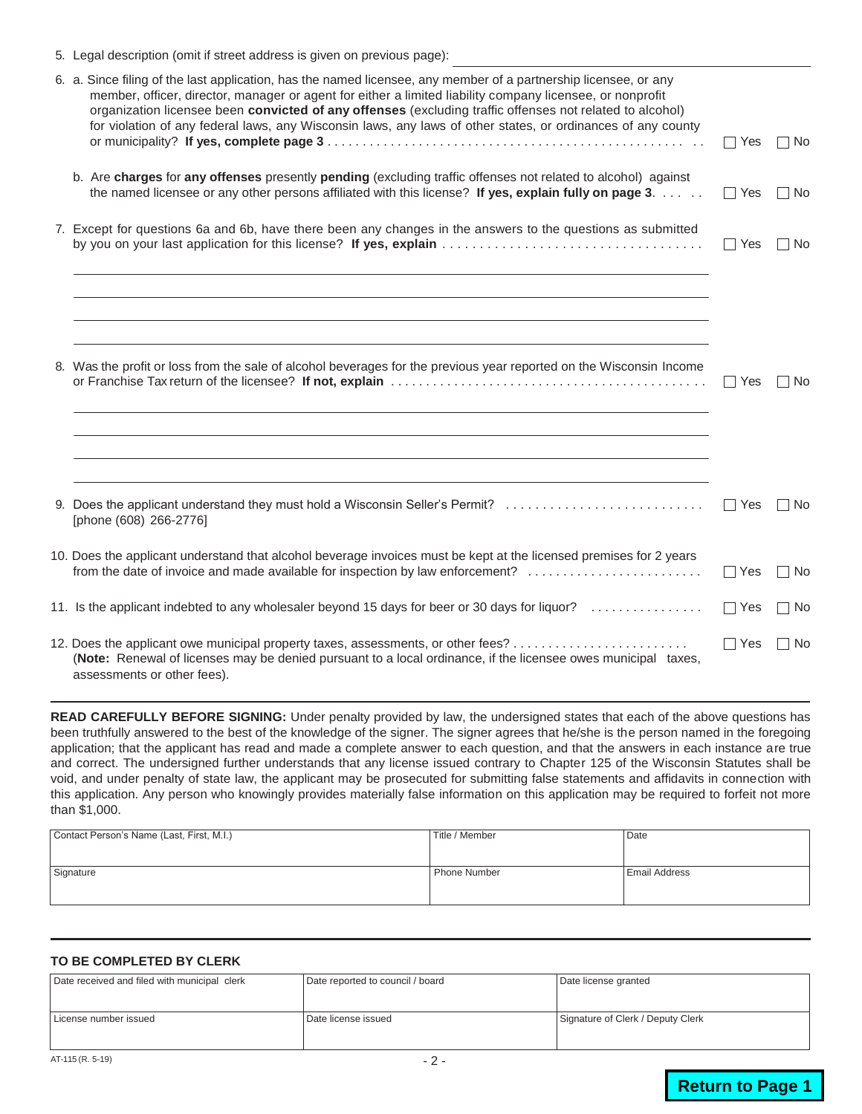| 5. Legal description (omit if street address is given on previous page):                                                                                                                                                                                                                                                                                                                                                                                  |            |      |
|-----------------------------------------------------------------------------------------------------------------------------------------------------------------------------------------------------------------------------------------------------------------------------------------------------------------------------------------------------------------------------------------------------------------------------------------------------------|------------|------|
| 6. a. Since filing of the last application, has the named licensee, any member of a partnership licensee, or any<br>member, officer, director, manager or agent for either a limited liability company licensee, or nonprofit<br>organization licensee been convicted of any offenses (excluding traffic offenses not related to alcohol)<br>for violation of any federal laws, any Wisconsin laws, any laws of other states, or ordinances of any county | $\Box$ Yes | No   |
| b. Are charges for any offenses presently pending (excluding traffic offenses not related to alcohol) against<br>the named licensee or any other persons affiliated with this license? If yes, explain fully on page 3.                                                                                                                                                                                                                                   | $\Box$ Yes | ∏ No |
| 7. Except for questions 6a and 6b, have there been any changes in the answers to the questions as submitted                                                                                                                                                                                                                                                                                                                                               | $\Box$ Yes | ∏ No |
|                                                                                                                                                                                                                                                                                                                                                                                                                                                           |            |      |
| 8. Was the profit or loss from the sale of alcohol beverages for the previous year reported on the Wisconsin Income                                                                                                                                                                                                                                                                                                                                       | $\Box$ Yes | l No |
|                                                                                                                                                                                                                                                                                                                                                                                                                                                           |            |      |
| 9. Does the applicant understand they must hold a Wisconsin Seller's Permit?<br>[phone (608) 266-2776]                                                                                                                                                                                                                                                                                                                                                    | Yes        | l No |
| 10. Does the applicant understand that alcohol beverage invoices must be kept at the licensed premises for 2 years<br>from the date of invoice and made available for inspection by law enforcement?                                                                                                                                                                                                                                                      | ∣ Yes      | l No |
| 11. Is the applicant indebted to any wholesaler beyond 15 days for beer or 30 days for liquor?                                                                                                                                                                                                                                                                                                                                                            | $\Box$ Yes | ⊟ No |
| (Note: Renewal of licenses may be denied pursuant to a local ordinance, if the licensee owes municipal taxes,<br>assessments or other fees).                                                                                                                                                                                                                                                                                                              | $\Box$ Yes | ∩ No |

**READ CAREFULLY BEFORE SIGNING:** Under penalty provided by law, the undersigned states that each of the above questions has been truthfully answered to the best of the knowledge of the signer. The signer agrees that he/she is the person named in the foregoing application; that the applicant has read and made a complete answer to each question, and that the answers in each instance are true and correct. The undersigned further understands that any license issued contrary to Chapter 125 of the Wisconsin Statutes shall be void, and under penalty of state law, the applicant may be prosecuted for submitting false statements and affidavits in connection with this application. Any person who knowingly provides materially false information on this application may be required to forfeit not more than \$1,000.

| Contact Person's Name (Last, First, M.I.) | Title / Member | Date                 |
|-------------------------------------------|----------------|----------------------|
| Signature                                 | Phone Number   | <b>Email Address</b> |

#### **TO BE COMPLETED BY CLERK**

| Date received and filed with municipal clerk | Date reported to council / board | Date license granted              |
|----------------------------------------------|----------------------------------|-----------------------------------|
| License number issued                        | Date license issued              | Signature of Clerk / Deputy Clerk |